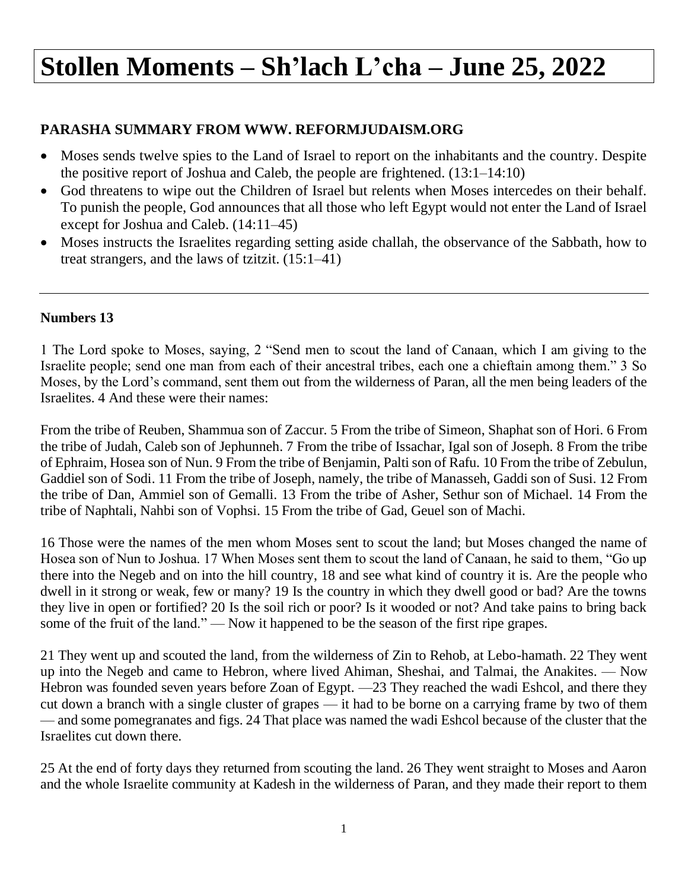## **Stollen Moments – Sh'lach L'cha – June 25, 2022**

## **PARASHA SUMMARY FROM WWW. REFORMJUDAISM.ORG**

- Moses sends twelve spies to the Land of Israel to report on the inhabitants and the country. Despite the positive report of Joshua and Caleb, the people are frightened. (13:1–14:10)
- God threatens to wipe out the Children of Israel but relents when Moses intercedes on their behalf. To punish the people, God announces that all those who left Egypt would not enter the Land of Israel except for Joshua and Caleb. (14:11–45)
- Moses instructs the Israelites regarding setting aside challah, the observance of the Sabbath, how to treat strangers, and the laws of tzitzit. (15:1–41)

## **Numbers 13**

1 The Lord spoke to Moses, saying, 2 "Send men to scout the land of Canaan, which I am giving to the Israelite people; send one man from each of their ancestral tribes, each one a chieftain among them." 3 So Moses, by the Lord's command, sent them out from the wilderness of Paran, all the men being leaders of the Israelites. 4 And these were their names:

From the tribe of Reuben, Shammua son of Zaccur. 5 From the tribe of Simeon, Shaphat son of Hori. 6 From the tribe of Judah, Caleb son of Jephunneh. 7 From the tribe of Issachar, Igal son of Joseph. 8 From the tribe of Ephraim, Hosea son of Nun. 9 From the tribe of Benjamin, Palti son of Rafu. 10 From the tribe of Zebulun, Gaddiel son of Sodi. 11 From the tribe of Joseph, namely, the tribe of Manasseh, Gaddi son of Susi. 12 From the tribe of Dan, Ammiel son of Gemalli. 13 From the tribe of Asher, Sethur son of Michael. 14 From the tribe of Naphtali, Nahbi son of Vophsi. 15 From the tribe of Gad, Geuel son of Machi.

16 Those were the names of the men whom Moses sent to scout the land; but Moses changed the name of Hosea son of Nun to Joshua. 17 When Moses sent them to scout the land of Canaan, he said to them, "Go up there into the Negeb and on into the hill country, 18 and see what kind of country it is. Are the people who dwell in it strong or weak, few or many? 19 Is the country in which they dwell good or bad? Are the towns they live in open or fortified? 20 Is the soil rich or poor? Is it wooded or not? And take pains to bring back some of the fruit of the land." — Now it happened to be the season of the first ripe grapes.

21 They went up and scouted the land, from the wilderness of Zin to Rehob, at Lebo-hamath. 22 They went up into the Negeb and came to Hebron, where lived Ahiman, Sheshai, and Talmai, the Anakites. — Now Hebron was founded seven years before Zoan of Egypt. —23 They reached the wadi Eshcol, and there they cut down a branch with a single cluster of grapes — it had to be borne on a carrying frame by two of them — and some pomegranates and figs. 24 That place was named the wadi Eshcol because of the cluster that the Israelites cut down there.

25 At the end of forty days they returned from scouting the land. 26 They went straight to Moses and Aaron and the whole Israelite community at Kadesh in the wilderness of Paran, and they made their report to them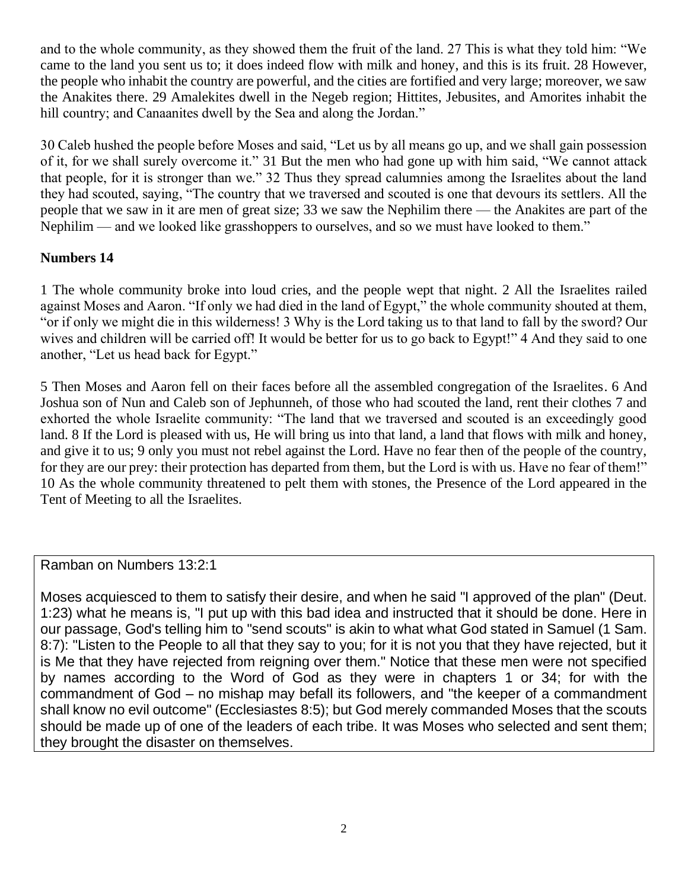and to the whole community, as they showed them the fruit of the land. 27 This is what they told him: "We came to the land you sent us to; it does indeed flow with milk and honey, and this is its fruit. 28 However, the people who inhabit the country are powerful, and the cities are fortified and very large; moreover, we saw the Anakites there. 29 Amalekites dwell in the Negeb region; Hittites, Jebusites, and Amorites inhabit the hill country; and Canaanites dwell by the Sea and along the Jordan."

30 Caleb hushed the people before Moses and said, "Let us by all means go up, and we shall gain possession of it, for we shall surely overcome it." 31 But the men who had gone up with him said, "We cannot attack that people, for it is stronger than we." 32 Thus they spread calumnies among the Israelites about the land they had scouted, saying, "The country that we traversed and scouted is one that devours its settlers. All the people that we saw in it are men of great size; 33 we saw the Nephilim there — the Anakites are part of the Nephilim — and we looked like grasshoppers to ourselves, and so we must have looked to them."

## **Numbers 14**

1 The whole community broke into loud cries, and the people wept that night. 2 All the Israelites railed against Moses and Aaron. "If only we had died in the land of Egypt," the whole community shouted at them, "or if only we might die in this wilderness! 3 Why is the Lord taking us to that land to fall by the sword? Our wives and children will be carried off! It would be better for us to go back to Egypt!" 4 And they said to one another, "Let us head back for Egypt."

5 Then Moses and Aaron fell on their faces before all the assembled congregation of the Israelites. 6 And Joshua son of Nun and Caleb son of Jephunneh, of those who had scouted the land, rent their clothes 7 and exhorted the whole Israelite community: "The land that we traversed and scouted is an exceedingly good land. 8 If the Lord is pleased with us, He will bring us into that land, a land that flows with milk and honey, and give it to us; 9 only you must not rebel against the Lord. Have no fear then of the people of the country, for they are our prey: their protection has departed from them, but the Lord is with us. Have no fear of them!" 10 As the whole community threatened to pelt them with stones, the Presence of the Lord appeared in the Tent of Meeting to all the Israelites.

Ramban on Numbers 13:2:1

Moses acquiesced to them to satisfy their desire, and when he said "I approved of the plan" (Deut. 1:23) what he means is, "I put up with this bad idea and instructed that it should be done. Here in our passage, God's telling him to "send scouts" is akin to what what God stated in Samuel (1 Sam. 8:7): "Listen to the People to all that they say to you; for it is not you that they have rejected, but it is Me that they have rejected from reigning over them." Notice that these men were not specified by names according to the Word of God as they were in chapters 1 or 34; for with the commandment of God – no mishap may befall its followers, and "the keeper of a commandment shall know no evil outcome" (Ecclesiastes 8:5); but God merely commanded Moses that the scouts should be made up of one of the leaders of each tribe. It was Moses who selected and sent them; they brought the disaster on themselves.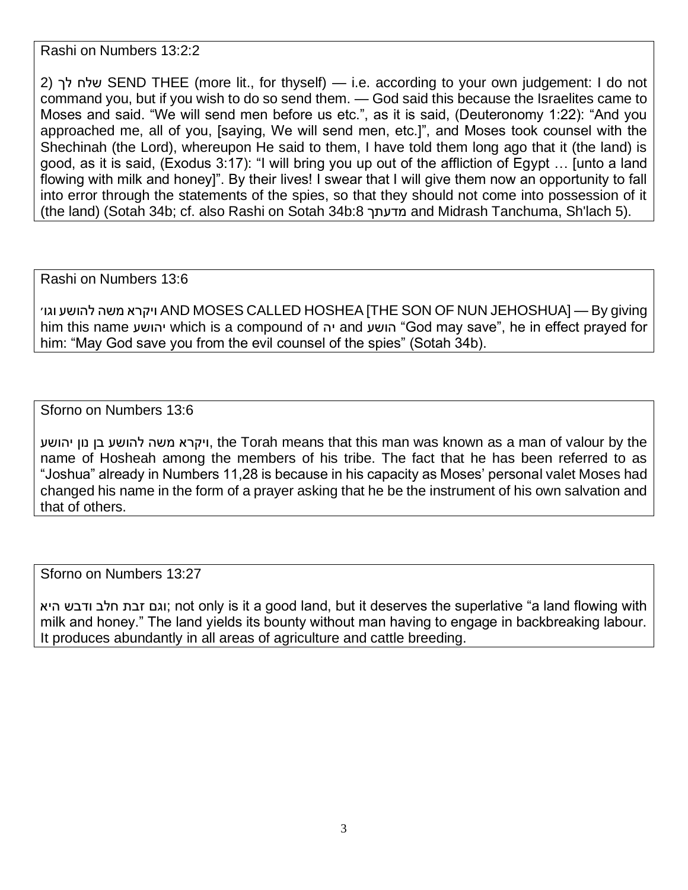Rashi on Numbers 13:2:2

2) לך שלח SEND THEE (more lit., for thyself) — i.e. according to your own judgement: I do not command you, but if you wish to do so send them. — God said this because the Israelites came to Moses and said. "We will send men before us etc.", as it is said, (Deuteronomy 1:22): "And you approached me, all of you, [saying, We will send men, etc.]", and Moses took counsel with the Shechinah (the Lord), whereupon He said to them, I have told them long ago that it (the land) is good, as it is said, (Exodus 3:17): "I will bring you up out of the affliction of Egypt … [unto a land flowing with milk and honey]". By their lives! I swear that I will give them now an opportunity to fall into error through the statements of the spies, so that they should not come into possession of it (the land) (Sotah 34b; cf. also Rashi on Sotah 34b:8 מדעתך and Midrash Tanchuma, Sh'lach 5).

Rashi on Numbers 13:6

 וגו׳ להושע משה ויקרא AND MOSES CALLED HOSHEA [THE SON OF NUN JEHOSHUA] — By giving him this name יהושע which is a compound of יה and יהושע "God may save", he in effect prayed for him: "May God save you from the evil counsel of the spies" (Sotah 34b).

Sforno on Numbers 13:6

יהושע נון בן להושע שה מ ויקרא, the Torah means that this man was known as a man of valour by the name of Hosheah among the members of his tribe. The fact that he has been referred to as "Joshua" already in Numbers 11,28 is because in his capacity as Moses' personal valet Moses had changed his name in the form of a prayer asking that he be the instrument of his own salvation and that of others.

Sforno on Numbers 13:27

וגם זבת חלב ודבש היא; not only is it a good land, but it deserves the superlative "a land flowing with milk and honey." The land yields its bounty without man having to engage in backbreaking labour. It produces abundantly in all areas of agriculture and cattle breeding.